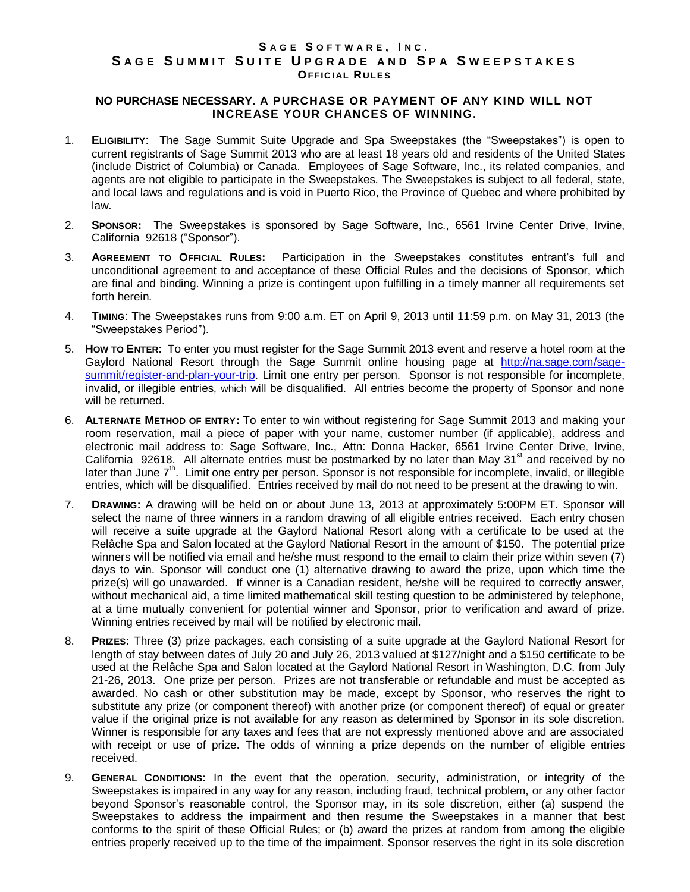## **S A G E S O F T W A R E , I N C . S A G E S U M M I T S U I T E U P G R A D E A N D S P A S W E E P S T A K E S OFFICIAL RULES**

## **NO PURCHASE NECESSARY. A PURCHASE OR PAYMENT OF ANY KIND WILL NOT INCREASE YOUR CHANCES OF WINNING.**

- 1. **ELIGIBILITY**: The Sage Summit Suite Upgrade and Spa Sweepstakes (the "Sweepstakes") is open to current registrants of Sage Summit 2013 who are at least 18 years old and residents of the United States (include District of Columbia) or Canada. Employees of Sage Software, Inc., its related companies, and agents are not eligible to participate in the Sweepstakes. The Sweepstakes is subject to all federal, state, and local laws and regulations and is void in Puerto Rico, the Province of Quebec and where prohibited by law.
- 2. **SPONSOR:** The Sweepstakes is sponsored by Sage Software, Inc., 6561 Irvine Center Drive, Irvine, California 92618 ("Sponsor").
- 3. **AGREEMENT TO OFFICIAL RULES:** Participation in the Sweepstakes constitutes entrant's full and unconditional agreement to and acceptance of these Official Rules and the decisions of Sponsor, which are final and binding. Winning a prize is contingent upon fulfilling in a timely manner all requirements set forth herein.
- 4. **TIMING**: The Sweepstakes runs from 9:00 a.m. ET on April 9, 2013 until 11:59 p.m. on May 31, 2013 (the "Sweepstakes Period").
- 5. **HOW TO ENTER:** To enter you must register for the Sage Summit 2013 event and reserve a hotel room at the Gaylord National Resort through the Sage Summit online housing page at [http://na.sage.com/sage](http://na.sage.com/sage-summit/register-and-plan-your-trip)[summit/register-and-plan-your-trip.](http://na.sage.com/sage-summit/register-and-plan-your-trip) Limit one entry per person. Sponsor is not responsible for incomplete, invalid, or illegible entries, which will be disqualified. All entries become the property of Sponsor and none will be returned.
- 6. **ALTERNATE METHOD OF ENTRY:** To enter to win without registering for Sage Summit 2013 and making your room reservation, mail a piece of paper with your name, customer number (if applicable), address and electronic mail address to: Sage Software, Inc., Attn: Donna Hacker, 6561 Irvine Center Drive, Irvine, California 92618. All alternate entries must be postmarked by no later than May 31<sup>st</sup> and received by no later than June 7<sup>th</sup>. Limit one entry per person. Sponsor is not responsible for incomplete, invalid, or illegible entries, which will be disqualified. Entries received by mail do not need to be present at the drawing to win.
- 7. **DRAWING:** A drawing will be held on or about June 13, 2013 at approximately 5:00PM ET. Sponsor will select the name of three winners in a random drawing of all eligible entries received. Each entry chosen will receive a suite upgrade at the Gaylord National Resort along with a certificate to be used at the Relâche Spa and Salon located at the Gaylord National Resort in the amount of \$150. The potential prize winners will be notified via email and he/she must respond to the email to claim their prize within seven (7) days to win. Sponsor will conduct one (1) alternative drawing to award the prize, upon which time the prize(s) will go unawarded. If winner is a Canadian resident, he/she will be required to correctly answer, without mechanical aid, a time limited mathematical skill testing question to be administered by telephone, at a time mutually convenient for potential winner and Sponsor, prior to verification and award of prize. Winning entries received by mail will be notified by electronic mail.
- 8. **PRIZES:** Three (3) prize packages, each consisting of a suite upgrade at the Gaylord National Resort for length of stay between dates of July 20 and July 26, 2013 valued at \$127/night and a \$150 certificate to be used at the Relâche Spa and Salon located at the Gaylord National Resort in Washington, D.C. from July 21-26, 2013. One prize per person. Prizes are not transferable or refundable and must be accepted as awarded. No cash or other substitution may be made, except by Sponsor, who reserves the right to substitute any prize (or component thereof) with another prize (or component thereof) of equal or greater value if the original prize is not available for any reason as determined by Sponsor in its sole discretion. Winner is responsible for any taxes and fees that are not expressly mentioned above and are associated with receipt or use of prize. The odds of winning a prize depends on the number of eligible entries received.
- 9. **GENERAL CONDITIONS:** In the event that the operation, security, administration, or integrity of the Sweepstakes is impaired in any way for any reason, including fraud, technical problem, or any other factor beyond Sponsor's reasonable control, the Sponsor may, in its sole discretion, either (a) suspend the Sweepstakes to address the impairment and then resume the Sweepstakes in a manner that best conforms to the spirit of these Official Rules; or (b) award the prizes at random from among the eligible entries properly received up to the time of the impairment. Sponsor reserves the right in its sole discretion